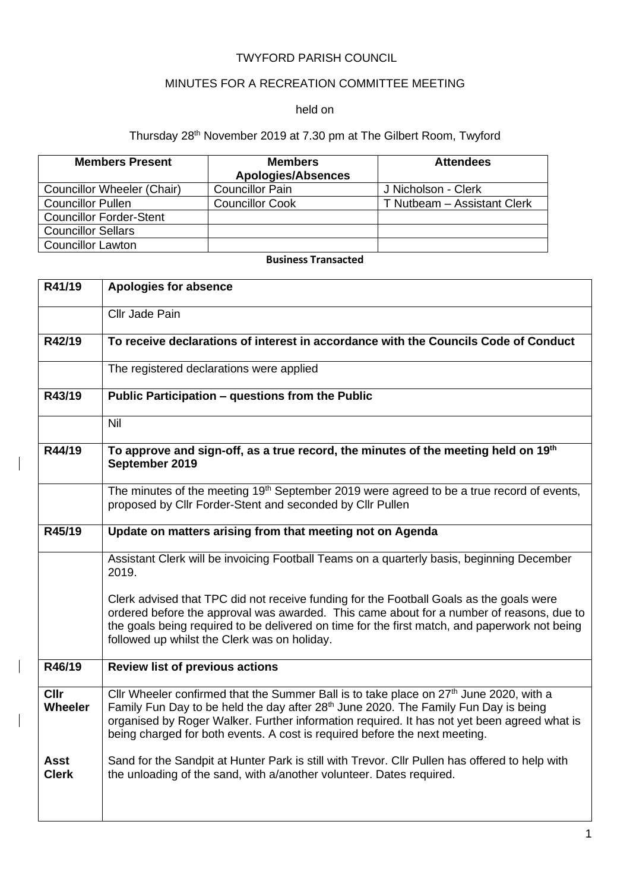## TWYFORD PARISH COUNCIL

# MINUTES FOR A RECREATION COMMITTEE MEETING

#### held on

## Thursday 28th November 2019 at 7.30 pm at The Gilbert Room, Twyford

| <b>Members Present</b>         | <b>Members</b><br><b>Apologies/Absences</b> | <b>Attendees</b>            |
|--------------------------------|---------------------------------------------|-----------------------------|
| Councillor Wheeler (Chair)     | <b>Councillor Pain</b>                      | J Nicholson - Clerk         |
| <b>Councillor Pullen</b>       | <b>Councillor Cook</b>                      | T Nutbeam - Assistant Clerk |
| <b>Councillor Forder-Stent</b> |                                             |                             |
| <b>Councillor Sellars</b>      |                                             |                             |
| <b>Councillor Lawton</b>       |                                             |                             |

## **Business Transacted**

| R41/19                        | <b>Apologies for absence</b>                                                                                                                                                                                                                                                                                                                                                       |
|-------------------------------|------------------------------------------------------------------------------------------------------------------------------------------------------------------------------------------------------------------------------------------------------------------------------------------------------------------------------------------------------------------------------------|
|                               | Cllr Jade Pain                                                                                                                                                                                                                                                                                                                                                                     |
| R42/19                        | To receive declarations of interest in accordance with the Councils Code of Conduct                                                                                                                                                                                                                                                                                                |
|                               | The registered declarations were applied                                                                                                                                                                                                                                                                                                                                           |
| R43/19                        | Public Participation - questions from the Public                                                                                                                                                                                                                                                                                                                                   |
|                               | Nil                                                                                                                                                                                                                                                                                                                                                                                |
| R44/19                        | To approve and sign-off, as a true record, the minutes of the meeting held on 19 <sup>th</sup><br>September 2019                                                                                                                                                                                                                                                                   |
|                               | The minutes of the meeting 19 <sup>th</sup> September 2019 were agreed to be a true record of events,<br>proposed by Cllr Forder-Stent and seconded by Cllr Pullen                                                                                                                                                                                                                 |
| R45/19                        | Update on matters arising from that meeting not on Agenda                                                                                                                                                                                                                                                                                                                          |
|                               | Assistant Clerk will be invoicing Football Teams on a quarterly basis, beginning December<br>2019.                                                                                                                                                                                                                                                                                 |
|                               | Clerk advised that TPC did not receive funding for the Football Goals as the goals were<br>ordered before the approval was awarded. This came about for a number of reasons, due to<br>the goals being required to be delivered on time for the first match, and paperwork not being<br>followed up whilst the Clerk was on holiday.                                               |
| R46/19                        | <b>Review list of previous actions</b>                                                                                                                                                                                                                                                                                                                                             |
| <b>CIIr</b><br><b>Wheeler</b> | Cllr Wheeler confirmed that the Summer Ball is to take place on 27 <sup>th</sup> June 2020, with a<br>Family Fun Day to be held the day after 28 <sup>th</sup> June 2020. The Family Fun Day is being<br>organised by Roger Walker. Further information required. It has not yet been agreed what is<br>being charged for both events. A cost is required before the next meeting. |
| <b>Asst</b><br><b>Clerk</b>   | Sand for the Sandpit at Hunter Park is still with Trevor. Cllr Pullen has offered to help with<br>the unloading of the sand, with a/another volunteer. Dates required.                                                                                                                                                                                                             |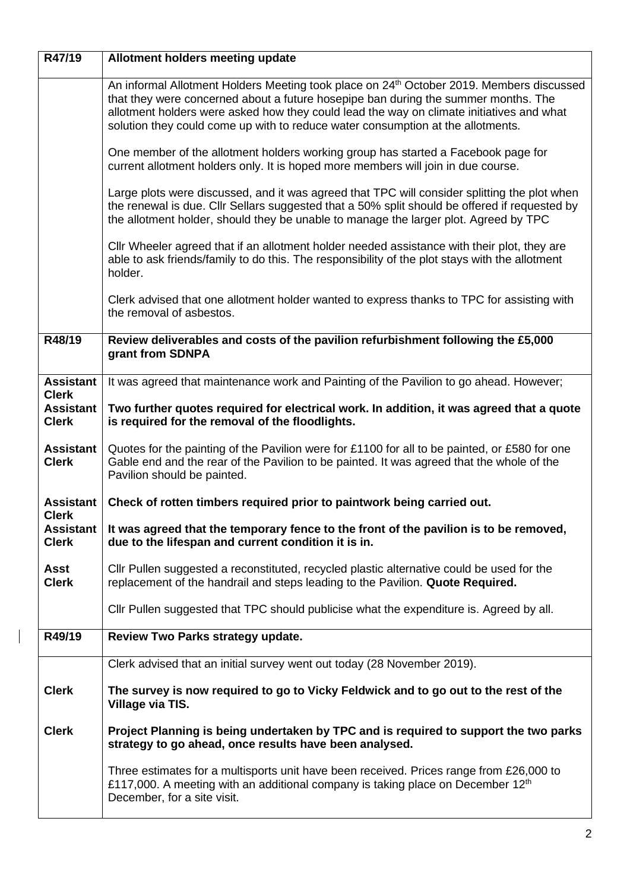| R47/19                                           | Allotment holders meeting update                                                                                                                                                                                                                                                                                                                                          |
|--------------------------------------------------|---------------------------------------------------------------------------------------------------------------------------------------------------------------------------------------------------------------------------------------------------------------------------------------------------------------------------------------------------------------------------|
|                                                  | An informal Allotment Holders Meeting took place on 24 <sup>th</sup> October 2019. Members discussed<br>that they were concerned about a future hosepipe ban during the summer months. The<br>allotment holders were asked how they could lead the way on climate initiatives and what<br>solution they could come up with to reduce water consumption at the allotments. |
|                                                  | One member of the allotment holders working group has started a Facebook page for<br>current allotment holders only. It is hoped more members will join in due course.                                                                                                                                                                                                    |
|                                                  | Large plots were discussed, and it was agreed that TPC will consider splitting the plot when<br>the renewal is due. Cllr Sellars suggested that a 50% split should be offered if requested by<br>the allotment holder, should they be unable to manage the larger plot. Agreed by TPC                                                                                     |
|                                                  | Cllr Wheeler agreed that if an allotment holder needed assistance with their plot, they are<br>able to ask friends/family to do this. The responsibility of the plot stays with the allotment<br>holder.                                                                                                                                                                  |
|                                                  | Clerk advised that one allotment holder wanted to express thanks to TPC for assisting with<br>the removal of asbestos.                                                                                                                                                                                                                                                    |
| R48/19                                           | Review deliverables and costs of the pavilion refurbishment following the £5,000<br>grant from SDNPA                                                                                                                                                                                                                                                                      |
| <b>Assistant</b><br><b>Clerk</b>                 | It was agreed that maintenance work and Painting of the Pavilion to go ahead. However;                                                                                                                                                                                                                                                                                    |
| <b>Assistant</b><br><b>Clerk</b>                 | Two further quotes required for electrical work. In addition, it was agreed that a quote<br>is required for the removal of the floodlights.                                                                                                                                                                                                                               |
| <b>Assistant</b><br><b>Clerk</b>                 | Quotes for the painting of the Pavilion were for £1100 for all to be painted, or £580 for one<br>Gable end and the rear of the Pavilion to be painted. It was agreed that the whole of the<br>Pavilion should be painted.                                                                                                                                                 |
| <b>Assistant</b>                                 | Check of rotten timbers required prior to paintwork being carried out.                                                                                                                                                                                                                                                                                                    |
| <b>Clerk</b><br><b>Assistant</b><br><b>Clerk</b> | It was agreed that the temporary fence to the front of the pavilion is to be removed,<br>due to the lifespan and current condition it is in.                                                                                                                                                                                                                              |
| Asst<br><b>Clerk</b>                             | CIIr Pullen suggested a reconstituted, recycled plastic alternative could be used for the<br>replacement of the handrail and steps leading to the Pavilion. Quote Required.                                                                                                                                                                                               |
|                                                  | CIIr Pullen suggested that TPC should publicise what the expenditure is. Agreed by all.                                                                                                                                                                                                                                                                                   |
| R49/19                                           | Review Two Parks strategy update.                                                                                                                                                                                                                                                                                                                                         |
|                                                  | Clerk advised that an initial survey went out today (28 November 2019).                                                                                                                                                                                                                                                                                                   |
| <b>Clerk</b>                                     | The survey is now required to go to Vicky Feldwick and to go out to the rest of the<br>Village via TIS.                                                                                                                                                                                                                                                                   |
| <b>Clerk</b>                                     | Project Planning is being undertaken by TPC and is required to support the two parks<br>strategy to go ahead, once results have been analysed.                                                                                                                                                                                                                            |
|                                                  | Three estimates for a multisports unit have been received. Prices range from £26,000 to<br>£117,000. A meeting with an additional company is taking place on December 12 <sup>th</sup><br>December, for a site visit.                                                                                                                                                     |

 $\overline{\phantom{a}}$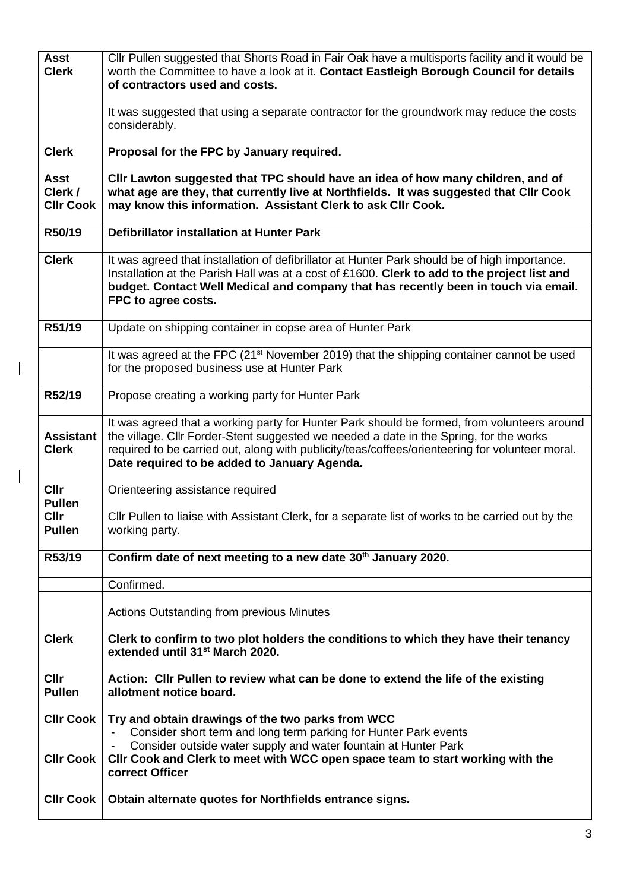| <b>Asst</b><br><b>Clerk</b>                | Cllr Pullen suggested that Shorts Road in Fair Oak have a multisports facility and it would be<br>worth the Committee to have a look at it. Contact Eastleigh Borough Council for details<br>of contractors used and costs.                                                                                                              |
|--------------------------------------------|------------------------------------------------------------------------------------------------------------------------------------------------------------------------------------------------------------------------------------------------------------------------------------------------------------------------------------------|
|                                            | It was suggested that using a separate contractor for the groundwork may reduce the costs<br>considerably.                                                                                                                                                                                                                               |
| <b>Clerk</b>                               | Proposal for the FPC by January required.                                                                                                                                                                                                                                                                                                |
| <b>Asst</b><br>Clerk /<br><b>CIIr Cook</b> | CIIr Lawton suggested that TPC should have an idea of how many children, and of<br>what age are they, that currently live at Northfields. It was suggested that Cllr Cook<br>may know this information. Assistant Clerk to ask Cllr Cook.                                                                                                |
| R50/19                                     | <b>Defibrillator installation at Hunter Park</b>                                                                                                                                                                                                                                                                                         |
| <b>Clerk</b>                               | It was agreed that installation of defibrillator at Hunter Park should be of high importance.<br>Installation at the Parish Hall was at a cost of £1600. Clerk to add to the project list and<br>budget. Contact Well Medical and company that has recently been in touch via email.<br>FPC to agree costs.                              |
| R51/19                                     | Update on shipping container in copse area of Hunter Park                                                                                                                                                                                                                                                                                |
|                                            | It was agreed at the FPC (21 <sup>st</sup> November 2019) that the shipping container cannot be used<br>for the proposed business use at Hunter Park                                                                                                                                                                                     |
| R52/19                                     | Propose creating a working party for Hunter Park                                                                                                                                                                                                                                                                                         |
| <b>Assistant</b><br><b>Clerk</b>           | It was agreed that a working party for Hunter Park should be formed, from volunteers around<br>the village. Cllr Forder-Stent suggested we needed a date in the Spring, for the works<br>required to be carried out, along with publicity/teas/coffees/orienteering for volunteer moral.<br>Date required to be added to January Agenda. |
| <b>Cllr</b><br><b>Pullen</b>               | Orienteering assistance required                                                                                                                                                                                                                                                                                                         |
| <b>Cllr</b><br><b>Pullen</b>               | CIIr Pullen to liaise with Assistant Clerk, for a separate list of works to be carried out by the<br>working party.                                                                                                                                                                                                                      |
| R53/19                                     | Confirm date of next meeting to a new date 30 <sup>th</sup> January 2020.                                                                                                                                                                                                                                                                |
|                                            | Confirmed.                                                                                                                                                                                                                                                                                                                               |
|                                            | Actions Outstanding from previous Minutes                                                                                                                                                                                                                                                                                                |
| <b>Clerk</b>                               | Clerk to confirm to two plot holders the conditions to which they have their tenancy<br>extended until 31 <sup>st</sup> March 2020.                                                                                                                                                                                                      |
| <b>Cllr</b><br><b>Pullen</b>               | Action: Cllr Pullen to review what can be done to extend the life of the existing<br>allotment notice board.                                                                                                                                                                                                                             |
| CIIr Cook  <br><b>CIIr Cook</b>            | Try and obtain drawings of the two parks from WCC<br>Consider short term and long term parking for Hunter Park events<br>Consider outside water supply and water fountain at Hunter Park<br>CIIr Cook and Clerk to meet with WCC open space team to start working with the<br>correct Officer                                            |
| <b>CIIr Cook</b>                           | Obtain alternate quotes for Northfields entrance signs.                                                                                                                                                                                                                                                                                  |

 $\begin{array}{c} \rule{0pt}{2ex} \rule{0pt}{2ex} \rule{0pt}{2ex} \rule{0pt}{2ex} \rule{0pt}{2ex} \rule{0pt}{2ex} \rule{0pt}{2ex} \rule{0pt}{2ex} \rule{0pt}{2ex} \rule{0pt}{2ex} \rule{0pt}{2ex} \rule{0pt}{2ex} \rule{0pt}{2ex} \rule{0pt}{2ex} \rule{0pt}{2ex} \rule{0pt}{2ex} \rule{0pt}{2ex} \rule{0pt}{2ex} \rule{0pt}{2ex} \rule{0pt}{2ex} \rule{0pt}{2ex} \rule{0pt}{2ex} \rule{0pt}{2ex} \rule{0pt}{$ 

 $\begin{array}{c} \rule{0pt}{2.5ex} \rule{0pt}{2.5ex} \rule{0pt}{2.5ex} \rule{0pt}{2.5ex} \rule{0pt}{2.5ex} \rule{0pt}{2.5ex} \rule{0pt}{2.5ex} \rule{0pt}{2.5ex} \rule{0pt}{2.5ex} \rule{0pt}{2.5ex} \rule{0pt}{2.5ex} \rule{0pt}{2.5ex} \rule{0pt}{2.5ex} \rule{0pt}{2.5ex} \rule{0pt}{2.5ex} \rule{0pt}{2.5ex} \rule{0pt}{2.5ex} \rule{0pt}{2.5ex} \rule{0pt}{2.5ex} \rule{0$